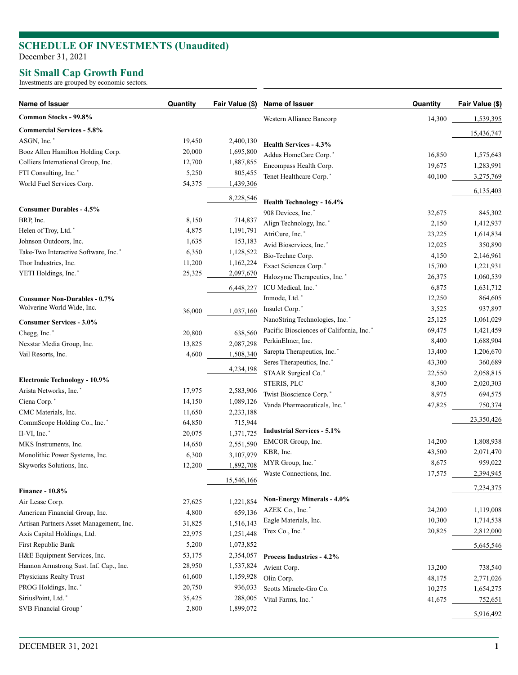# **SCHEDULE OF INVESTMENTS (Unaudited )**

December 31, 2021

### **Sit Small Cap Growth Fund**

Investments are grouped by economic sectors.

| Common Stocks - 99.8%<br>Western Alliance Bancorp<br>14,300<br>1,539,395<br><b>Commercial Services - 5.8%</b><br>15,436,747<br>ASGN, Inc.*<br>2,400,130<br>19,450<br>Health Services - 4.3%<br>1,695,800<br>Booz Allen Hamilton Holding Corp.<br>20,000<br>Addus HomeCare Corp.*<br>16,850<br>1,575,643<br>Colliers International Group, Inc.<br>1,887,855<br>12,700<br>Encompass Health Corp.<br>19,675<br>1,283,991<br>FTI Consulting, Inc.*<br>5,250<br>805,455<br>Tenet Healthcare Corp.*<br>40,100<br>3,275,769<br>World Fuel Services Corp.<br>1,439,306<br>54,375<br>6,135,403<br>8,228,546<br>Health Technology - 16.4%<br><b>Consumer Durables - 4.5%</b><br>908 Devices, Inc.*<br>32,675<br>845,302<br>BRP, Inc.<br>8,150<br>714,837<br>Align Technology, Inc.*<br>2,150<br>1,412,937<br>Helen of Troy, Ltd.*<br>1,191,791<br>4,875<br>AtriCure, Inc.*<br>23,225<br>1,614,834<br>153,183<br>Johnson Outdoors, Inc.<br>1,635<br>Avid Bioservices, Inc.*<br>12,025<br>350,890<br>Take-Two Interactive Software, Inc.*<br>1,128,522<br>6,350<br>Bio-Techne Corp.<br>2,146,961<br>4,150<br>1,162,224<br>Thor Industries, Inc.<br>11,200<br>Exact Sciences Corp.*<br>15,700<br>1,221,931<br>YETI Holdings, Inc.*<br>25,325<br>2,097,670<br>Halozyme Therapeutics, Inc. <sup>*</sup><br>26,375<br>1,060,539<br>ICU Medical, Inc.*<br>6,875<br>1,631,712<br>6,448,227<br>Inmode, Ltd.*<br>864,605<br>12,250<br><b>Consumer Non-Durables - 0.7%</b><br>Wolverine World Wide, Inc.<br>Insulet Corp.'<br>3,525<br>937,897<br>1,037,160<br>36,000<br>NanoString Technologies, Inc.*<br>1,061,029<br>25,125<br><b>Consumer Services - 3.0%</b><br>Pacific Biosciences of California, Inc.*<br>69,475<br>1,421,459<br>Chegg, Inc.*<br>20,800<br>638,560<br>PerkinElmer, Inc.<br>8,400<br>1,688,904<br>2,087,298<br>13,825<br>Nexstar Media Group, Inc.<br>Sarepta Therapeutics, Inc.*<br>1,206,670<br>13,400<br>4,600<br>1,508,340<br>Vail Resorts, Inc.<br>Seres Therapeutics, Inc.*<br>43,300<br>360,689<br>4,234,198<br>STAAR Surgical Co.*<br>2,058,815<br>22,550<br><b>Electronic Technology - 10.9%</b><br>STERIS, PLC<br>8,300<br>2,020,303<br>Arista Networks, Inc.*<br>17,975<br>2,583,906<br>Twist Bioscience Corp.*<br>8,975<br>694,575<br>Ciena Corp.*<br>14,150<br>1,089,126<br>Vanda Pharmaceuticals, Inc.*<br>47,825<br>750,374<br>CMC Materials, Inc.<br>2,233,188<br>11,650<br>23,350,426<br>715,944<br>CommScope Holding Co., Inc.*<br>64,850<br><b>Industrial Services - 5.1%</b><br>II-VI, Inc.*<br>20,075<br>1,371,725<br>14,200<br>EMCOR Group, Inc.<br>1,808,938<br>2,551,590<br>MKS Instruments, Inc.<br>14,650<br>KBR, Inc.<br>2,071,470<br>43,500<br>3,107,979<br>Monolithic Power Systems, Inc.<br>6,300<br>MYR Group, Inc.*<br>8,675<br>959,022<br>1,892,708<br>Skyworks Solutions, Inc.<br>12,200<br>Waste Connections, Inc.<br>17,575<br>2,394,945<br>15,546,166<br>7,234,375<br><b>Finance - 10.8%</b><br><b>Non-Energy Minerals - 4.0%</b><br>27,625<br>1,221,854<br>Air Lease Corp.<br>AZEK Co., Inc.*<br>24,200<br>1,119,008<br>4,800<br>659,136<br>American Financial Group, Inc.<br>Eagle Materials, Inc.<br>10,300<br>1,714,538<br>1,516,143<br>Artisan Partners Asset Management, Inc.<br>31,825<br>Trex Co., Inc.*<br>20,825<br>2,812,000<br>22,975<br>1,251,448<br>Axis Capital Holdings, Ltd.<br>First Republic Bank<br>5,200<br>1,073,852<br>5,645,546<br>H&E Equipment Services, Inc.<br>53,175<br>2,354,057<br>Process Industries - 4.2%<br>Hannon Armstrong Sust. Inf. Cap., Inc.<br>28,950<br>1,537,824<br>Avient Corp.<br>13,200<br>738,540<br>Physicians Realty Trust<br>61,600<br>1,159,928<br>Olin Corp.<br>48,175<br>2,771,026<br>PROG Holdings, Inc.*<br>20,750<br>936,033<br>Scotts Miracle-Gro Co.<br>10,275<br>1,654,275<br>SiriusPoint, Ltd.*<br>35,425<br>288,005<br>Vital Farms, Inc.*<br>41,675<br>752,651<br>SVB Financial Group*<br>1,899,072<br>2,800<br>5,916,492 | Name of Issuer | Quantity | Fair Value (\$) | Name of Issuer | Quantity | Fair Value (\$) |
|-------------------------------------------------------------------------------------------------------------------------------------------------------------------------------------------------------------------------------------------------------------------------------------------------------------------------------------------------------------------------------------------------------------------------------------------------------------------------------------------------------------------------------------------------------------------------------------------------------------------------------------------------------------------------------------------------------------------------------------------------------------------------------------------------------------------------------------------------------------------------------------------------------------------------------------------------------------------------------------------------------------------------------------------------------------------------------------------------------------------------------------------------------------------------------------------------------------------------------------------------------------------------------------------------------------------------------------------------------------------------------------------------------------------------------------------------------------------------------------------------------------------------------------------------------------------------------------------------------------------------------------------------------------------------------------------------------------------------------------------------------------------------------------------------------------------------------------------------------------------------------------------------------------------------------------------------------------------------------------------------------------------------------------------------------------------------------------------------------------------------------------------------------------------------------------------------------------------------------------------------------------------------------------------------------------------------------------------------------------------------------------------------------------------------------------------------------------------------------------------------------------------------------------------------------------------------------------------------------------------------------------------------------------------------------------------------------------------------------------------------------------------------------------------------------------------------------------------------------------------------------------------------------------------------------------------------------------------------------------------------------------------------------------------------------------------------------------------------------------------------------------------------------------------------------------------------------------------------------------------------------------------------------------------------------------------------------------------------------------------------------------------------------------------------------------------------------------------------------------------------------------------------------------------------------------------------------------------------------------------------------------------------------------------------------------------------------------------------------------------------------------------------------------------------------------------------------------------------------------------------------------------------------------------------------|----------------|----------|-----------------|----------------|----------|-----------------|
|                                                                                                                                                                                                                                                                                                                                                                                                                                                                                                                                                                                                                                                                                                                                                                                                                                                                                                                                                                                                                                                                                                                                                                                                                                                                                                                                                                                                                                                                                                                                                                                                                                                                                                                                                                                                                                                                                                                                                                                                                                                                                                                                                                                                                                                                                                                                                                                                                                                                                                                                                                                                                                                                                                                                                                                                                                                                                                                                                                                                                                                                                                                                                                                                                                                                                                                                                                                                                                                                                                                                                                                                                                                                                                                                                                                                                                                                                                                               |                |          |                 |                |          |                 |
|                                                                                                                                                                                                                                                                                                                                                                                                                                                                                                                                                                                                                                                                                                                                                                                                                                                                                                                                                                                                                                                                                                                                                                                                                                                                                                                                                                                                                                                                                                                                                                                                                                                                                                                                                                                                                                                                                                                                                                                                                                                                                                                                                                                                                                                                                                                                                                                                                                                                                                                                                                                                                                                                                                                                                                                                                                                                                                                                                                                                                                                                                                                                                                                                                                                                                                                                                                                                                                                                                                                                                                                                                                                                                                                                                                                                                                                                                                                               |                |          |                 |                |          |                 |
|                                                                                                                                                                                                                                                                                                                                                                                                                                                                                                                                                                                                                                                                                                                                                                                                                                                                                                                                                                                                                                                                                                                                                                                                                                                                                                                                                                                                                                                                                                                                                                                                                                                                                                                                                                                                                                                                                                                                                                                                                                                                                                                                                                                                                                                                                                                                                                                                                                                                                                                                                                                                                                                                                                                                                                                                                                                                                                                                                                                                                                                                                                                                                                                                                                                                                                                                                                                                                                                                                                                                                                                                                                                                                                                                                                                                                                                                                                                               |                |          |                 |                |          |                 |
|                                                                                                                                                                                                                                                                                                                                                                                                                                                                                                                                                                                                                                                                                                                                                                                                                                                                                                                                                                                                                                                                                                                                                                                                                                                                                                                                                                                                                                                                                                                                                                                                                                                                                                                                                                                                                                                                                                                                                                                                                                                                                                                                                                                                                                                                                                                                                                                                                                                                                                                                                                                                                                                                                                                                                                                                                                                                                                                                                                                                                                                                                                                                                                                                                                                                                                                                                                                                                                                                                                                                                                                                                                                                                                                                                                                                                                                                                                                               |                |          |                 |                |          |                 |
|                                                                                                                                                                                                                                                                                                                                                                                                                                                                                                                                                                                                                                                                                                                                                                                                                                                                                                                                                                                                                                                                                                                                                                                                                                                                                                                                                                                                                                                                                                                                                                                                                                                                                                                                                                                                                                                                                                                                                                                                                                                                                                                                                                                                                                                                                                                                                                                                                                                                                                                                                                                                                                                                                                                                                                                                                                                                                                                                                                                                                                                                                                                                                                                                                                                                                                                                                                                                                                                                                                                                                                                                                                                                                                                                                                                                                                                                                                                               |                |          |                 |                |          |                 |
|                                                                                                                                                                                                                                                                                                                                                                                                                                                                                                                                                                                                                                                                                                                                                                                                                                                                                                                                                                                                                                                                                                                                                                                                                                                                                                                                                                                                                                                                                                                                                                                                                                                                                                                                                                                                                                                                                                                                                                                                                                                                                                                                                                                                                                                                                                                                                                                                                                                                                                                                                                                                                                                                                                                                                                                                                                                                                                                                                                                                                                                                                                                                                                                                                                                                                                                                                                                                                                                                                                                                                                                                                                                                                                                                                                                                                                                                                                                               |                |          |                 |                |          |                 |
|                                                                                                                                                                                                                                                                                                                                                                                                                                                                                                                                                                                                                                                                                                                                                                                                                                                                                                                                                                                                                                                                                                                                                                                                                                                                                                                                                                                                                                                                                                                                                                                                                                                                                                                                                                                                                                                                                                                                                                                                                                                                                                                                                                                                                                                                                                                                                                                                                                                                                                                                                                                                                                                                                                                                                                                                                                                                                                                                                                                                                                                                                                                                                                                                                                                                                                                                                                                                                                                                                                                                                                                                                                                                                                                                                                                                                                                                                                                               |                |          |                 |                |          |                 |
|                                                                                                                                                                                                                                                                                                                                                                                                                                                                                                                                                                                                                                                                                                                                                                                                                                                                                                                                                                                                                                                                                                                                                                                                                                                                                                                                                                                                                                                                                                                                                                                                                                                                                                                                                                                                                                                                                                                                                                                                                                                                                                                                                                                                                                                                                                                                                                                                                                                                                                                                                                                                                                                                                                                                                                                                                                                                                                                                                                                                                                                                                                                                                                                                                                                                                                                                                                                                                                                                                                                                                                                                                                                                                                                                                                                                                                                                                                                               |                |          |                 |                |          |                 |
|                                                                                                                                                                                                                                                                                                                                                                                                                                                                                                                                                                                                                                                                                                                                                                                                                                                                                                                                                                                                                                                                                                                                                                                                                                                                                                                                                                                                                                                                                                                                                                                                                                                                                                                                                                                                                                                                                                                                                                                                                                                                                                                                                                                                                                                                                                                                                                                                                                                                                                                                                                                                                                                                                                                                                                                                                                                                                                                                                                                                                                                                                                                                                                                                                                                                                                                                                                                                                                                                                                                                                                                                                                                                                                                                                                                                                                                                                                                               |                |          |                 |                |          |                 |
|                                                                                                                                                                                                                                                                                                                                                                                                                                                                                                                                                                                                                                                                                                                                                                                                                                                                                                                                                                                                                                                                                                                                                                                                                                                                                                                                                                                                                                                                                                                                                                                                                                                                                                                                                                                                                                                                                                                                                                                                                                                                                                                                                                                                                                                                                                                                                                                                                                                                                                                                                                                                                                                                                                                                                                                                                                                                                                                                                                                                                                                                                                                                                                                                                                                                                                                                                                                                                                                                                                                                                                                                                                                                                                                                                                                                                                                                                                                               |                |          |                 |                |          |                 |
|                                                                                                                                                                                                                                                                                                                                                                                                                                                                                                                                                                                                                                                                                                                                                                                                                                                                                                                                                                                                                                                                                                                                                                                                                                                                                                                                                                                                                                                                                                                                                                                                                                                                                                                                                                                                                                                                                                                                                                                                                                                                                                                                                                                                                                                                                                                                                                                                                                                                                                                                                                                                                                                                                                                                                                                                                                                                                                                                                                                                                                                                                                                                                                                                                                                                                                                                                                                                                                                                                                                                                                                                                                                                                                                                                                                                                                                                                                                               |                |          |                 |                |          |                 |
|                                                                                                                                                                                                                                                                                                                                                                                                                                                                                                                                                                                                                                                                                                                                                                                                                                                                                                                                                                                                                                                                                                                                                                                                                                                                                                                                                                                                                                                                                                                                                                                                                                                                                                                                                                                                                                                                                                                                                                                                                                                                                                                                                                                                                                                                                                                                                                                                                                                                                                                                                                                                                                                                                                                                                                                                                                                                                                                                                                                                                                                                                                                                                                                                                                                                                                                                                                                                                                                                                                                                                                                                                                                                                                                                                                                                                                                                                                                               |                |          |                 |                |          |                 |
|                                                                                                                                                                                                                                                                                                                                                                                                                                                                                                                                                                                                                                                                                                                                                                                                                                                                                                                                                                                                                                                                                                                                                                                                                                                                                                                                                                                                                                                                                                                                                                                                                                                                                                                                                                                                                                                                                                                                                                                                                                                                                                                                                                                                                                                                                                                                                                                                                                                                                                                                                                                                                                                                                                                                                                                                                                                                                                                                                                                                                                                                                                                                                                                                                                                                                                                                                                                                                                                                                                                                                                                                                                                                                                                                                                                                                                                                                                                               |                |          |                 |                |          |                 |
|                                                                                                                                                                                                                                                                                                                                                                                                                                                                                                                                                                                                                                                                                                                                                                                                                                                                                                                                                                                                                                                                                                                                                                                                                                                                                                                                                                                                                                                                                                                                                                                                                                                                                                                                                                                                                                                                                                                                                                                                                                                                                                                                                                                                                                                                                                                                                                                                                                                                                                                                                                                                                                                                                                                                                                                                                                                                                                                                                                                                                                                                                                                                                                                                                                                                                                                                                                                                                                                                                                                                                                                                                                                                                                                                                                                                                                                                                                                               |                |          |                 |                |          |                 |
|                                                                                                                                                                                                                                                                                                                                                                                                                                                                                                                                                                                                                                                                                                                                                                                                                                                                                                                                                                                                                                                                                                                                                                                                                                                                                                                                                                                                                                                                                                                                                                                                                                                                                                                                                                                                                                                                                                                                                                                                                                                                                                                                                                                                                                                                                                                                                                                                                                                                                                                                                                                                                                                                                                                                                                                                                                                                                                                                                                                                                                                                                                                                                                                                                                                                                                                                                                                                                                                                                                                                                                                                                                                                                                                                                                                                                                                                                                                               |                |          |                 |                |          |                 |
|                                                                                                                                                                                                                                                                                                                                                                                                                                                                                                                                                                                                                                                                                                                                                                                                                                                                                                                                                                                                                                                                                                                                                                                                                                                                                                                                                                                                                                                                                                                                                                                                                                                                                                                                                                                                                                                                                                                                                                                                                                                                                                                                                                                                                                                                                                                                                                                                                                                                                                                                                                                                                                                                                                                                                                                                                                                                                                                                                                                                                                                                                                                                                                                                                                                                                                                                                                                                                                                                                                                                                                                                                                                                                                                                                                                                                                                                                                                               |                |          |                 |                |          |                 |
|                                                                                                                                                                                                                                                                                                                                                                                                                                                                                                                                                                                                                                                                                                                                                                                                                                                                                                                                                                                                                                                                                                                                                                                                                                                                                                                                                                                                                                                                                                                                                                                                                                                                                                                                                                                                                                                                                                                                                                                                                                                                                                                                                                                                                                                                                                                                                                                                                                                                                                                                                                                                                                                                                                                                                                                                                                                                                                                                                                                                                                                                                                                                                                                                                                                                                                                                                                                                                                                                                                                                                                                                                                                                                                                                                                                                                                                                                                                               |                |          |                 |                |          |                 |
|                                                                                                                                                                                                                                                                                                                                                                                                                                                                                                                                                                                                                                                                                                                                                                                                                                                                                                                                                                                                                                                                                                                                                                                                                                                                                                                                                                                                                                                                                                                                                                                                                                                                                                                                                                                                                                                                                                                                                                                                                                                                                                                                                                                                                                                                                                                                                                                                                                                                                                                                                                                                                                                                                                                                                                                                                                                                                                                                                                                                                                                                                                                                                                                                                                                                                                                                                                                                                                                                                                                                                                                                                                                                                                                                                                                                                                                                                                                               |                |          |                 |                |          |                 |
|                                                                                                                                                                                                                                                                                                                                                                                                                                                                                                                                                                                                                                                                                                                                                                                                                                                                                                                                                                                                                                                                                                                                                                                                                                                                                                                                                                                                                                                                                                                                                                                                                                                                                                                                                                                                                                                                                                                                                                                                                                                                                                                                                                                                                                                                                                                                                                                                                                                                                                                                                                                                                                                                                                                                                                                                                                                                                                                                                                                                                                                                                                                                                                                                                                                                                                                                                                                                                                                                                                                                                                                                                                                                                                                                                                                                                                                                                                                               |                |          |                 |                |          |                 |
|                                                                                                                                                                                                                                                                                                                                                                                                                                                                                                                                                                                                                                                                                                                                                                                                                                                                                                                                                                                                                                                                                                                                                                                                                                                                                                                                                                                                                                                                                                                                                                                                                                                                                                                                                                                                                                                                                                                                                                                                                                                                                                                                                                                                                                                                                                                                                                                                                                                                                                                                                                                                                                                                                                                                                                                                                                                                                                                                                                                                                                                                                                                                                                                                                                                                                                                                                                                                                                                                                                                                                                                                                                                                                                                                                                                                                                                                                                                               |                |          |                 |                |          |                 |
|                                                                                                                                                                                                                                                                                                                                                                                                                                                                                                                                                                                                                                                                                                                                                                                                                                                                                                                                                                                                                                                                                                                                                                                                                                                                                                                                                                                                                                                                                                                                                                                                                                                                                                                                                                                                                                                                                                                                                                                                                                                                                                                                                                                                                                                                                                                                                                                                                                                                                                                                                                                                                                                                                                                                                                                                                                                                                                                                                                                                                                                                                                                                                                                                                                                                                                                                                                                                                                                                                                                                                                                                                                                                                                                                                                                                                                                                                                                               |                |          |                 |                |          |                 |
|                                                                                                                                                                                                                                                                                                                                                                                                                                                                                                                                                                                                                                                                                                                                                                                                                                                                                                                                                                                                                                                                                                                                                                                                                                                                                                                                                                                                                                                                                                                                                                                                                                                                                                                                                                                                                                                                                                                                                                                                                                                                                                                                                                                                                                                                                                                                                                                                                                                                                                                                                                                                                                                                                                                                                                                                                                                                                                                                                                                                                                                                                                                                                                                                                                                                                                                                                                                                                                                                                                                                                                                                                                                                                                                                                                                                                                                                                                                               |                |          |                 |                |          |                 |
|                                                                                                                                                                                                                                                                                                                                                                                                                                                                                                                                                                                                                                                                                                                                                                                                                                                                                                                                                                                                                                                                                                                                                                                                                                                                                                                                                                                                                                                                                                                                                                                                                                                                                                                                                                                                                                                                                                                                                                                                                                                                                                                                                                                                                                                                                                                                                                                                                                                                                                                                                                                                                                                                                                                                                                                                                                                                                                                                                                                                                                                                                                                                                                                                                                                                                                                                                                                                                                                                                                                                                                                                                                                                                                                                                                                                                                                                                                                               |                |          |                 |                |          |                 |
|                                                                                                                                                                                                                                                                                                                                                                                                                                                                                                                                                                                                                                                                                                                                                                                                                                                                                                                                                                                                                                                                                                                                                                                                                                                                                                                                                                                                                                                                                                                                                                                                                                                                                                                                                                                                                                                                                                                                                                                                                                                                                                                                                                                                                                                                                                                                                                                                                                                                                                                                                                                                                                                                                                                                                                                                                                                                                                                                                                                                                                                                                                                                                                                                                                                                                                                                                                                                                                                                                                                                                                                                                                                                                                                                                                                                                                                                                                                               |                |          |                 |                |          |                 |
|                                                                                                                                                                                                                                                                                                                                                                                                                                                                                                                                                                                                                                                                                                                                                                                                                                                                                                                                                                                                                                                                                                                                                                                                                                                                                                                                                                                                                                                                                                                                                                                                                                                                                                                                                                                                                                                                                                                                                                                                                                                                                                                                                                                                                                                                                                                                                                                                                                                                                                                                                                                                                                                                                                                                                                                                                                                                                                                                                                                                                                                                                                                                                                                                                                                                                                                                                                                                                                                                                                                                                                                                                                                                                                                                                                                                                                                                                                                               |                |          |                 |                |          |                 |
|                                                                                                                                                                                                                                                                                                                                                                                                                                                                                                                                                                                                                                                                                                                                                                                                                                                                                                                                                                                                                                                                                                                                                                                                                                                                                                                                                                                                                                                                                                                                                                                                                                                                                                                                                                                                                                                                                                                                                                                                                                                                                                                                                                                                                                                                                                                                                                                                                                                                                                                                                                                                                                                                                                                                                                                                                                                                                                                                                                                                                                                                                                                                                                                                                                                                                                                                                                                                                                                                                                                                                                                                                                                                                                                                                                                                                                                                                                                               |                |          |                 |                |          |                 |
|                                                                                                                                                                                                                                                                                                                                                                                                                                                                                                                                                                                                                                                                                                                                                                                                                                                                                                                                                                                                                                                                                                                                                                                                                                                                                                                                                                                                                                                                                                                                                                                                                                                                                                                                                                                                                                                                                                                                                                                                                                                                                                                                                                                                                                                                                                                                                                                                                                                                                                                                                                                                                                                                                                                                                                                                                                                                                                                                                                                                                                                                                                                                                                                                                                                                                                                                                                                                                                                                                                                                                                                                                                                                                                                                                                                                                                                                                                                               |                |          |                 |                |          |                 |
|                                                                                                                                                                                                                                                                                                                                                                                                                                                                                                                                                                                                                                                                                                                                                                                                                                                                                                                                                                                                                                                                                                                                                                                                                                                                                                                                                                                                                                                                                                                                                                                                                                                                                                                                                                                                                                                                                                                                                                                                                                                                                                                                                                                                                                                                                                                                                                                                                                                                                                                                                                                                                                                                                                                                                                                                                                                                                                                                                                                                                                                                                                                                                                                                                                                                                                                                                                                                                                                                                                                                                                                                                                                                                                                                                                                                                                                                                                                               |                |          |                 |                |          |                 |
|                                                                                                                                                                                                                                                                                                                                                                                                                                                                                                                                                                                                                                                                                                                                                                                                                                                                                                                                                                                                                                                                                                                                                                                                                                                                                                                                                                                                                                                                                                                                                                                                                                                                                                                                                                                                                                                                                                                                                                                                                                                                                                                                                                                                                                                                                                                                                                                                                                                                                                                                                                                                                                                                                                                                                                                                                                                                                                                                                                                                                                                                                                                                                                                                                                                                                                                                                                                                                                                                                                                                                                                                                                                                                                                                                                                                                                                                                                                               |                |          |                 |                |          |                 |
|                                                                                                                                                                                                                                                                                                                                                                                                                                                                                                                                                                                                                                                                                                                                                                                                                                                                                                                                                                                                                                                                                                                                                                                                                                                                                                                                                                                                                                                                                                                                                                                                                                                                                                                                                                                                                                                                                                                                                                                                                                                                                                                                                                                                                                                                                                                                                                                                                                                                                                                                                                                                                                                                                                                                                                                                                                                                                                                                                                                                                                                                                                                                                                                                                                                                                                                                                                                                                                                                                                                                                                                                                                                                                                                                                                                                                                                                                                                               |                |          |                 |                |          |                 |
|                                                                                                                                                                                                                                                                                                                                                                                                                                                                                                                                                                                                                                                                                                                                                                                                                                                                                                                                                                                                                                                                                                                                                                                                                                                                                                                                                                                                                                                                                                                                                                                                                                                                                                                                                                                                                                                                                                                                                                                                                                                                                                                                                                                                                                                                                                                                                                                                                                                                                                                                                                                                                                                                                                                                                                                                                                                                                                                                                                                                                                                                                                                                                                                                                                                                                                                                                                                                                                                                                                                                                                                                                                                                                                                                                                                                                                                                                                                               |                |          |                 |                |          |                 |
|                                                                                                                                                                                                                                                                                                                                                                                                                                                                                                                                                                                                                                                                                                                                                                                                                                                                                                                                                                                                                                                                                                                                                                                                                                                                                                                                                                                                                                                                                                                                                                                                                                                                                                                                                                                                                                                                                                                                                                                                                                                                                                                                                                                                                                                                                                                                                                                                                                                                                                                                                                                                                                                                                                                                                                                                                                                                                                                                                                                                                                                                                                                                                                                                                                                                                                                                                                                                                                                                                                                                                                                                                                                                                                                                                                                                                                                                                                                               |                |          |                 |                |          |                 |
|                                                                                                                                                                                                                                                                                                                                                                                                                                                                                                                                                                                                                                                                                                                                                                                                                                                                                                                                                                                                                                                                                                                                                                                                                                                                                                                                                                                                                                                                                                                                                                                                                                                                                                                                                                                                                                                                                                                                                                                                                                                                                                                                                                                                                                                                                                                                                                                                                                                                                                                                                                                                                                                                                                                                                                                                                                                                                                                                                                                                                                                                                                                                                                                                                                                                                                                                                                                                                                                                                                                                                                                                                                                                                                                                                                                                                                                                                                                               |                |          |                 |                |          |                 |
|                                                                                                                                                                                                                                                                                                                                                                                                                                                                                                                                                                                                                                                                                                                                                                                                                                                                                                                                                                                                                                                                                                                                                                                                                                                                                                                                                                                                                                                                                                                                                                                                                                                                                                                                                                                                                                                                                                                                                                                                                                                                                                                                                                                                                                                                                                                                                                                                                                                                                                                                                                                                                                                                                                                                                                                                                                                                                                                                                                                                                                                                                                                                                                                                                                                                                                                                                                                                                                                                                                                                                                                                                                                                                                                                                                                                                                                                                                                               |                |          |                 |                |          |                 |
|                                                                                                                                                                                                                                                                                                                                                                                                                                                                                                                                                                                                                                                                                                                                                                                                                                                                                                                                                                                                                                                                                                                                                                                                                                                                                                                                                                                                                                                                                                                                                                                                                                                                                                                                                                                                                                                                                                                                                                                                                                                                                                                                                                                                                                                                                                                                                                                                                                                                                                                                                                                                                                                                                                                                                                                                                                                                                                                                                                                                                                                                                                                                                                                                                                                                                                                                                                                                                                                                                                                                                                                                                                                                                                                                                                                                                                                                                                                               |                |          |                 |                |          |                 |
|                                                                                                                                                                                                                                                                                                                                                                                                                                                                                                                                                                                                                                                                                                                                                                                                                                                                                                                                                                                                                                                                                                                                                                                                                                                                                                                                                                                                                                                                                                                                                                                                                                                                                                                                                                                                                                                                                                                                                                                                                                                                                                                                                                                                                                                                                                                                                                                                                                                                                                                                                                                                                                                                                                                                                                                                                                                                                                                                                                                                                                                                                                                                                                                                                                                                                                                                                                                                                                                                                                                                                                                                                                                                                                                                                                                                                                                                                                                               |                |          |                 |                |          |                 |
|                                                                                                                                                                                                                                                                                                                                                                                                                                                                                                                                                                                                                                                                                                                                                                                                                                                                                                                                                                                                                                                                                                                                                                                                                                                                                                                                                                                                                                                                                                                                                                                                                                                                                                                                                                                                                                                                                                                                                                                                                                                                                                                                                                                                                                                                                                                                                                                                                                                                                                                                                                                                                                                                                                                                                                                                                                                                                                                                                                                                                                                                                                                                                                                                                                                                                                                                                                                                                                                                                                                                                                                                                                                                                                                                                                                                                                                                                                                               |                |          |                 |                |          |                 |
|                                                                                                                                                                                                                                                                                                                                                                                                                                                                                                                                                                                                                                                                                                                                                                                                                                                                                                                                                                                                                                                                                                                                                                                                                                                                                                                                                                                                                                                                                                                                                                                                                                                                                                                                                                                                                                                                                                                                                                                                                                                                                                                                                                                                                                                                                                                                                                                                                                                                                                                                                                                                                                                                                                                                                                                                                                                                                                                                                                                                                                                                                                                                                                                                                                                                                                                                                                                                                                                                                                                                                                                                                                                                                                                                                                                                                                                                                                                               |                |          |                 |                |          |                 |
|                                                                                                                                                                                                                                                                                                                                                                                                                                                                                                                                                                                                                                                                                                                                                                                                                                                                                                                                                                                                                                                                                                                                                                                                                                                                                                                                                                                                                                                                                                                                                                                                                                                                                                                                                                                                                                                                                                                                                                                                                                                                                                                                                                                                                                                                                                                                                                                                                                                                                                                                                                                                                                                                                                                                                                                                                                                                                                                                                                                                                                                                                                                                                                                                                                                                                                                                                                                                                                                                                                                                                                                                                                                                                                                                                                                                                                                                                                                               |                |          |                 |                |          |                 |
|                                                                                                                                                                                                                                                                                                                                                                                                                                                                                                                                                                                                                                                                                                                                                                                                                                                                                                                                                                                                                                                                                                                                                                                                                                                                                                                                                                                                                                                                                                                                                                                                                                                                                                                                                                                                                                                                                                                                                                                                                                                                                                                                                                                                                                                                                                                                                                                                                                                                                                                                                                                                                                                                                                                                                                                                                                                                                                                                                                                                                                                                                                                                                                                                                                                                                                                                                                                                                                                                                                                                                                                                                                                                                                                                                                                                                                                                                                                               |                |          |                 |                |          |                 |
|                                                                                                                                                                                                                                                                                                                                                                                                                                                                                                                                                                                                                                                                                                                                                                                                                                                                                                                                                                                                                                                                                                                                                                                                                                                                                                                                                                                                                                                                                                                                                                                                                                                                                                                                                                                                                                                                                                                                                                                                                                                                                                                                                                                                                                                                                                                                                                                                                                                                                                                                                                                                                                                                                                                                                                                                                                                                                                                                                                                                                                                                                                                                                                                                                                                                                                                                                                                                                                                                                                                                                                                                                                                                                                                                                                                                                                                                                                                               |                |          |                 |                |          |                 |
|                                                                                                                                                                                                                                                                                                                                                                                                                                                                                                                                                                                                                                                                                                                                                                                                                                                                                                                                                                                                                                                                                                                                                                                                                                                                                                                                                                                                                                                                                                                                                                                                                                                                                                                                                                                                                                                                                                                                                                                                                                                                                                                                                                                                                                                                                                                                                                                                                                                                                                                                                                                                                                                                                                                                                                                                                                                                                                                                                                                                                                                                                                                                                                                                                                                                                                                                                                                                                                                                                                                                                                                                                                                                                                                                                                                                                                                                                                                               |                |          |                 |                |          |                 |
|                                                                                                                                                                                                                                                                                                                                                                                                                                                                                                                                                                                                                                                                                                                                                                                                                                                                                                                                                                                                                                                                                                                                                                                                                                                                                                                                                                                                                                                                                                                                                                                                                                                                                                                                                                                                                                                                                                                                                                                                                                                                                                                                                                                                                                                                                                                                                                                                                                                                                                                                                                                                                                                                                                                                                                                                                                                                                                                                                                                                                                                                                                                                                                                                                                                                                                                                                                                                                                                                                                                                                                                                                                                                                                                                                                                                                                                                                                                               |                |          |                 |                |          |                 |
|                                                                                                                                                                                                                                                                                                                                                                                                                                                                                                                                                                                                                                                                                                                                                                                                                                                                                                                                                                                                                                                                                                                                                                                                                                                                                                                                                                                                                                                                                                                                                                                                                                                                                                                                                                                                                                                                                                                                                                                                                                                                                                                                                                                                                                                                                                                                                                                                                                                                                                                                                                                                                                                                                                                                                                                                                                                                                                                                                                                                                                                                                                                                                                                                                                                                                                                                                                                                                                                                                                                                                                                                                                                                                                                                                                                                                                                                                                                               |                |          |                 |                |          |                 |
|                                                                                                                                                                                                                                                                                                                                                                                                                                                                                                                                                                                                                                                                                                                                                                                                                                                                                                                                                                                                                                                                                                                                                                                                                                                                                                                                                                                                                                                                                                                                                                                                                                                                                                                                                                                                                                                                                                                                                                                                                                                                                                                                                                                                                                                                                                                                                                                                                                                                                                                                                                                                                                                                                                                                                                                                                                                                                                                                                                                                                                                                                                                                                                                                                                                                                                                                                                                                                                                                                                                                                                                                                                                                                                                                                                                                                                                                                                                               |                |          |                 |                |          |                 |
|                                                                                                                                                                                                                                                                                                                                                                                                                                                                                                                                                                                                                                                                                                                                                                                                                                                                                                                                                                                                                                                                                                                                                                                                                                                                                                                                                                                                                                                                                                                                                                                                                                                                                                                                                                                                                                                                                                                                                                                                                                                                                                                                                                                                                                                                                                                                                                                                                                                                                                                                                                                                                                                                                                                                                                                                                                                                                                                                                                                                                                                                                                                                                                                                                                                                                                                                                                                                                                                                                                                                                                                                                                                                                                                                                                                                                                                                                                                               |                |          |                 |                |          |                 |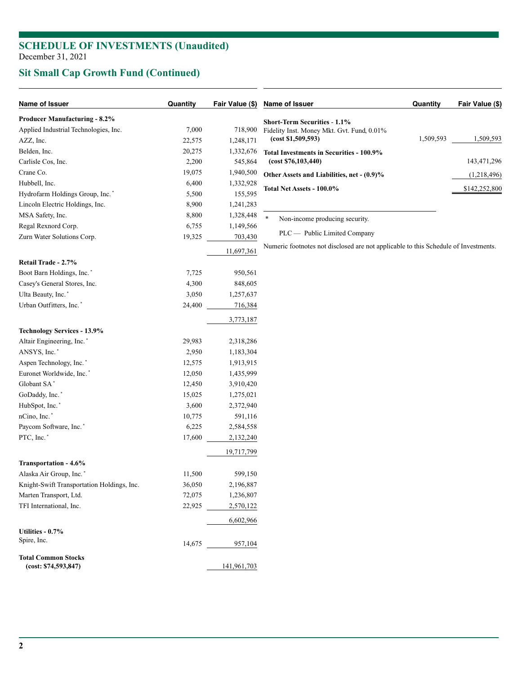### **SCHEDULE OF INVESTMENTS (Unaudited)** December 31, 2021

# **Sit Small Cap Growth Fund (Continued)**

| Name of Issuer                             | Quantity | Fair Value (\$) | Name of Issuer                                                                      | Quantity  | Fair Value (\$) |
|--------------------------------------------|----------|-----------------|-------------------------------------------------------------------------------------|-----------|-----------------|
| <b>Producer Manufacturing - 8.2%</b>       |          |                 | <b>Short-Term Securities - 1.1%</b>                                                 |           |                 |
| Applied Industrial Technologies, Inc.      | 7,000    | 718,900         | Fidelity Inst. Money Mkt. Gvt. Fund, 0.01%                                          |           |                 |
| AZZ, Inc.                                  | 22,575   | 1,248,171       | (cost \$1,509,593)                                                                  | 1,509,593 | 1,509,593       |
| Belden, Inc.                               | 20,275   | 1,332,676       | Total Investments in Securities - 100.9%                                            |           |                 |
| Carlisle Cos, Inc.                         | 2,200    | 545,864         | (cost \$76,103,440)                                                                 |           | 143,471,296     |
| Crane Co.                                  | 19,075   | 1,940,500       | Other Assets and Liabilities, net - (0.9)%                                          |           | (1,218,496)     |
| Hubbell, Inc.                              | 6,400    | 1,332,928       |                                                                                     |           |                 |
| Hydrofarm Holdings Group, Inc.*            | 5,500    | 155,595         | Total Net Assets - 100.0%                                                           |           | \$142,252,800   |
| Lincoln Electric Holdings, Inc.            | 8,900    | 1,241,283       |                                                                                     |           |                 |
| MSA Safety, Inc.                           | 8,800    | 1,328,448       | $\ast$<br>Non-income producing security.                                            |           |                 |
| Regal Rexnord Corp.                        | 6,755    | 1,149,566       |                                                                                     |           |                 |
| Zurn Water Solutions Corp.                 | 19,325   | 703,430         | PLC — Public Limited Company                                                        |           |                 |
|                                            |          | 11,697,361      | Numeric footnotes not disclosed are not applicable to this Schedule of Investments. |           |                 |
| Retail Trade - 2.7%                        |          |                 |                                                                                     |           |                 |
| Boot Barn Holdings, Inc.*                  | 7,725    | 950,561         |                                                                                     |           |                 |
| Casey's General Stores, Inc.               | 4,300    | 848,605         |                                                                                     |           |                 |
| Ulta Beauty, Inc.*                         | 3,050    | 1,257,637       |                                                                                     |           |                 |
| Urban Outfitters, Inc.*                    | 24,400   | 716,384         |                                                                                     |           |                 |
|                                            |          | 3,773,187       |                                                                                     |           |                 |
| <b>Technology Services - 13.9%</b>         |          |                 |                                                                                     |           |                 |
| Altair Engineering, Inc.*                  | 29,983   | 2,318,286       |                                                                                     |           |                 |
| ANSYS, Inc.*                               | 2,950    | 1,183,304       |                                                                                     |           |                 |
| Aspen Technology, Inc.*                    | 12,575   | 1,913,915       |                                                                                     |           |                 |
| Euronet Worldwide, Inc.*                   | 12,050   | 1,435,999       |                                                                                     |           |                 |
| Globant SA*                                | 12,450   | 3,910,420       |                                                                                     |           |                 |
| GoDaddy, Inc.*                             | 15,025   | 1,275,021       |                                                                                     |           |                 |
| HubSpot, Inc.*                             | 3,600    | 2,372,940       |                                                                                     |           |                 |
| nCino, Inc.*                               | 10,775   | 591,116         |                                                                                     |           |                 |
| Paycom Software, Inc.*                     | 6,225    | 2,584,558       |                                                                                     |           |                 |
| PTC, Inc.*                                 | 17,600   | 2,132,240       |                                                                                     |           |                 |
|                                            |          | 19,717,799      |                                                                                     |           |                 |
| Transportation - 4.6%                      |          |                 |                                                                                     |           |                 |
| Alaska Air Group, Inc.*                    | 11,500   | 599,150         |                                                                                     |           |                 |
| Knight-Swift Transportation Holdings, Inc. | 36,050   | 2,196,887       |                                                                                     |           |                 |
| Marten Transport, Ltd.                     | 72,075   | 1,236,807       |                                                                                     |           |                 |
| TFI International, Inc.                    | 22,925   | 2,570,122       |                                                                                     |           |                 |
|                                            |          | 6,602,966       |                                                                                     |           |                 |
| Utilities - 0.7%                           |          |                 |                                                                                     |           |                 |
| Spire, Inc.                                | 14,675   | 957,104         |                                                                                     |           |                 |
| <b>Total Common Stocks</b>                 |          |                 |                                                                                     |           |                 |
| (cost: \$74,593,847)                       |          | 141,961,703     |                                                                                     |           |                 |